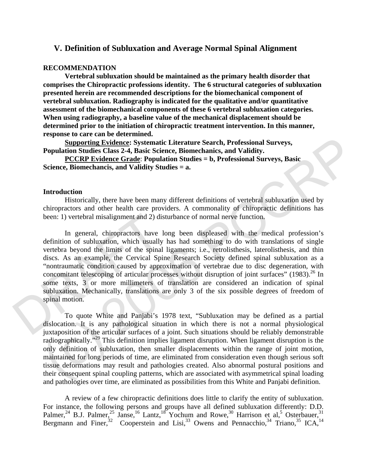# **V. Definition of Subluxation and Average Normal Spinal Alignment**

#### **RECOMMENDATION**

 **Vertebral subluxation should be maintained as the primary health disorder that comprises the Chiropractic professions identity. The 6 structural categories of subluxation presented herein are recommended descriptions for the biomechanical component of vertebral subluxation. Radiography is indicated for the qualitative and/or quantitative assessment of the biomechanical components of these 6 vertebral subluxation categories. When using radiography, a baseline value of the mechanical displacement should be determined prior to the initiation of chiropractic treatment intervention. In this manner, response to care can be determined.** 

**Supporting Evidence: Systematic Literature Search, Professional Surveys, Population Studies Class 2-4, Basic Science, Biomechanics, and Validity.** 

**PCCRP Evidence Grade**: **Population Studies = b, Professional Surveys, Basic Science, Biomechancis, and Validity Studies = a.**

#### **Introduction**

 Historically, there have been many different definitions of vertebral subluxation used by chiropractors and other health care providers. A commonality of chiropractic definitions has been: 1) vertebral misalignment and 2) disturbance of normal nerve function.

been: 1) vertebral misalignment and 2) di<br>
In general, chiropractors have<br>
definition of subluxation, which usually<br>
vertebra beyond the limits of the spina<br>
discs. As an example, the Cervical Sp<br>
"nontraumatic condition c In general, chiropractors have long been displeased with the medical profession's definition of subluxation, which usually has had something to do with translations of single vertebra beyond the limits of the spinal ligaments; i.e., retrolisthesis, laterolisthesis, and thin discs. As an example, the Cervical Spine Research Society defined spinal subluxation as a "nontraumatic condition caused by approximation of vertebrae due to disc degeneration, with concomitant telescoping of articular processes without disruption of joint surfaces" (1983).<sup>26</sup> In some texts, 3 or more millimeters of translation are considered an indication of spinal subluxation. Mechanically, translations are only 3 of the six possible degrees of freedom of spinal motion.

**Exploring Evidence:** Systematic Literature Search, Professional Surveys,<br> **Population Studies Classe 2-4.** Basis estence, Biomechanics, and Validity.<br> **Professional Surveys, Basic Exerce, Biomechanics, and Validity Studi** To quote White and Panjabi's 1978 text, "Subluxation may be defined as a partial dislocation. It is any pathological situation in which there is not a normal physiological juxtaposition of the articular surfaces of a joint. Such situations should be reliably demonstrable radiographically."29 This definition implies ligament disruption. When ligament disruption is the only definition of subluxation, then smaller displacements within the range of joint motion, maintained for long periods of time, are eliminated from consideration even though serious soft tissue deformations may result and pathologies created. Also abnormal postural positions and their consequent spinal coupling patterns, which are associated with asymmetrical spinal loading and pathologies over time, are eliminated as possibilities from this White and Panjabi definition.

A review of a few chiropractic definitions does little to clarify the entity of subluxation. For instance, the following persons and groups have all defined subluxation differently: D.D. Palmer,<sup>24</sup> B.J. Palmer,<sup>25</sup> Janse,<sup>16</sup> Lantz,<sup>18</sup> Yochum and Rowe,<sup>30</sup> Harrison et al,<sup>5</sup> Osterbauer,<sup>31</sup> Bergmann and Finer,<sup>32</sup> Cooperstein and Lisi,<sup>33</sup> Owens and Pennacchio,<sup>34</sup> Triano,<sup>35</sup> ICA,<sup>14</sup>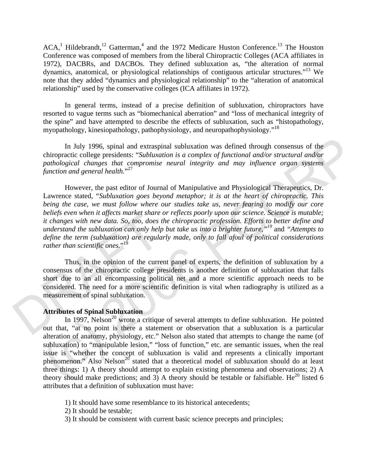$ACA<sup>1</sup> Hildebrandt<sup>12</sup> Gatterman<sup>4</sup>$  and the 1972 Medicare Huston Conference.<sup>13</sup> The Houston Conference was composed of members from the liberal Chiropractic Colleges (ACA affiliates in 1972), DACBRs, and DACBOs. They defined subluxation as, "the alteration of normal dynamics, anatomical, or physiological relationships of contiguous articular structures."13 We note that they added "dynamics and physiological relationship" to the "alteration of anatomical relationship" used by the conservative colleges (ICA affiliates in 1972).

In general terms, instead of a precise definition of subluxation, chiropractors have resorted to vague terms such as "biomechanical aberration" and "loss of mechanical integrity of the spine" and have attempted to describe the effects of subluxation, such as "histopathology, myopathology, kinesiopathology, pathophysiology, and neuropathophysiology."<sup>18</sup>

In July 1996, spinal and extraspinal subluxation was defined through consensus of the chiropractic college presidents: "*Subluxation is a complex of functional and/or structural and/or pathological changes that compromise neural integrity and may influence organ systems function and general health.*" 27

However, the past editor of Journal of Manipulative and Physiological Therapeutics, Dr. Lawrence stated, "*Subluxation goes beyond metaphor; it is at the heart of chiropractic. This being the case, we must follow where our studies take us, never fearing to modify our core beliefs even when it affects market share or reflects poorly upon our science. Science is mutable; it changes with new data. So, too, does the chiropractic profession. Efforts to better define and understand the subluxation can only help but take us into a brighter future,"19* and *"Attempts to define the term (subluxation) are regularly made, only to fall afoul of political considerations*  rather than scientific ones."<sup>19</sup>

bettefs even when it uffects market share<br>it changes with new data. So, too, does is<br>understand the subluxation can only help<br>define the term (subluxation) are regular<br>rather than scientific ones."<sup>19</sup><br>Thus, in the opinion Thus, in the opinion of the current panel of experts, the definition of subluxation by a consensus of the chiropractic college presidents is another definition of subluxation that falls short due to an all encompassing political net and a more scientific approach needs to be considered. The need for a more scientific definition is vital when radiography is utilized as a measurement of spinal subluxation.

### **Attributes of Spinal Subluxation**

In July 1996, spinal and extraspinal subluxation was defined through consensus of the<br>
chiropactic college presidents: "Subluxation is a complex of functional and/or structural and/or<br>
pathological changes that componise In 1997, Nelson<sup>20</sup> wrote a critique of several attempts to define subluxation. He pointed out that, "at no point is there a statement or observation that a subluxation is a particular alteration of anatomy, physiology, etc." Nelson also stated that attempts to change the name (of subluxation) to "manipulable lesion," "loss of function," etc. are semantic issues, when the real issue is "whether the concept of subluxation is valid and represents a clinically important phenomenon." Also Nelson<sup>20</sup> stated that a theoretical model of subluxation should do at least three things: 1) A theory should attempt to explain existing phenomena and observations; 2) A theory should make predictions; and 3) A theory should be testable or falsifiable. He<sup>20</sup> listed 6 attributes that a definition of subluxation must have:

- 1) It should have some resemblance to its historical antecedents;
- 2) It should be testable;
- 3) It should be consistent with current basic science precepts and principles;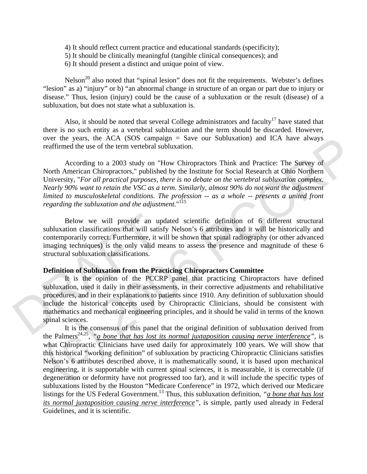- 4) It should reflect current practice and educational standards (specificity);
- 5) It should be clinically meaningful (tangible clinical consequences); and
- 6) It should present a distinct and unique point of view.

Nelson<sup>20</sup> also noted that "spinal lesion" does not fit the requirements. Webster's defines "lesion" as a) "injury" or b) "an abnormal change in structure of an organ or part due to injury or disease." Thus, lesion (injury) could be the cause of a subluxation or the result (disease) of a subluxation, but does not state what a subluxation is.

Also, it should be noted that several College administrators and faculty<sup>17</sup> have stated that there is no such entity as a vertebral subluxation and the term should be discarded. However, over the years, the ACA (SOS campaign  $=$  Save our Subluxation) and ICA have always reaffirmed the use of the term vertebral subluxation.

According to a 2003 study on "How Chiropractors Think and Practice: The Survey of North American Chiropractors," published by the Institute for Social Research at Ohio Northern University, "*For all practical purposes, there is no debate on the vertebral subluxation complex. Nearly 90% want to retain the VSC as a term. Similarly, almost 90% do not want the adjustment limited to musculoskeletal conditions. The profession -- as a whole -- presents a united front regarding the subluxation and the adjustment.*" 115

Below we will provide an updated scientific definition of 6 different structural subluxation classifications that will satisfy Nelson's 6 attributes and it will be historically and contemporarily correct. Furthermore, it will be shown that spinal radiography (or other advanced imaging techniques) is the only valid means to assess the presence and magnitude of these 6 structural subluxation classifications.

## **Definition of Subluxation from the Practicing Chiropractors Committee**

Below we will provide an up<br>subluxation classifications that will satis<br>contemporarily correct. Furthermore, it w<br>imaging techniques) is the only valid m<br>structural subluxation classifications.<br>**Definition of Subluxation** It is the opinion of the PCCRP panel that practicing Chiropractors have defined subluxation, used it daily in their assessments, in their corrective adjustments and rehabilitative procedures, and in their explanations to patients since 1910. Any definition of subluxation should include the historical concepts used by Chiropractic Clinicians, should be consistent with mathematics and mechanical engineering principles, and it should be valid in terms of the known spinal sciences.

over the Recar, the ACA (SOS campaign = Save our Sobluxation) and ICA have always<br>reaffirmed the use of the term vertebral subluxation.<br>According to a 2003 study on "How Chiropractors Think and Practice: The Survey of<br>Nor It is the consensus of this panel that the original definition of subluxation derived from the Palmers<sup>24,25</sup>, "a bone that has lost its normal juxtaposition causing nerve interference", is what Chiropractic Clinicians have used daily for approximately 100 years. We will show that this historical "working definition" of subluxation by practicing Chiropractic Clinicians satisfies Nelson's 6 attributes described above, it is mathematically sound, it is based upon mechanical engineering, it is supportable with current spinal sciences, it is measurable, it is correctable (if degeneration or deformity have not progressed too far), and it will include the specific types of subluxations listed by the Houston "Medicare Conference" in 1972, which derived our Medicare listings for the US Federal Government.<sup>13</sup> Thus, this subluxation definition, *"a bone that has lost its normal juxtaposition causing nerve interference"*, is simple, partly used already in Federal Guidelines, and it is scientific.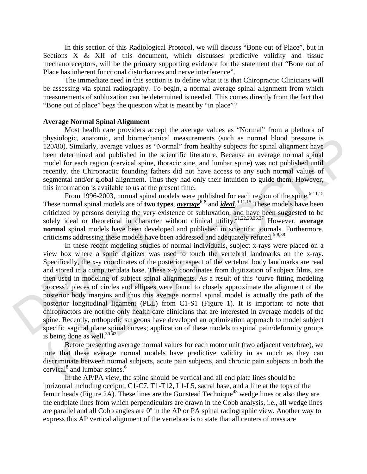In this section of this Radiological Protocol, we will discuss "Bone out of Place", but in Sections X & XII of this document, which discusses predictive validity and tissue mechanoreceptors, will be the primary supporting evidence for the statement that "Bone out of Place has inherent functional disturbances and nerve interference".

 The immediate need in this section is to define what it is that Chiropractic Clinicians will be assessing via spinal radiography. To begin, a normal average spinal alignment from which measurements of subluxation can be determined is needed. This comes directly from the fact that "Bone out of place" begs the question what is meant by "in place"?

#### **Average Normal Spinal Alignment**

 Most health care providers accept the average values as "Normal" from a plethora of physiologic, anatomic, and biomechanical measurements (such as normal blood pressure is 120/80). Similarly, average values as "Normal" from healthy subjects for spinal alignment have been determined and published in the scientific literature. Because an average normal spinal model for each region (cervical spine, thoracic sine, and lumbar spine) was not published until recently, the Chiropractic founding fathers did not have access to any such normal values of segmental and/or global alignment. Thus they had only their intuition to guide them. However, this information is available to us at the present time.

From 1996-2003, normal spinal models were published for each region of the spine.<sup>6-11,15</sup> These normal spinal models are of **two types**, *<u>average</u>***<sup>6-8</sup> and <b>***ideal*. <sup>9-11,15</sup> These models have been criticized by persons denying the very existence of subluxation, and have been suggested to be solely ideal or theoretical in character without clinical utility.21,22,28,36,37 However, **average normal** spinal models have been developed and published in scientific journals. Furthermore, criticisms addressing these models have been addressed and adequately refuted.<sup>6-8,38</sup>

enterized by persons deriying the very e<br>solely ideal or theoretical in character<br>**normal** spinal models have been develo<br>criticisms addressing these models have b<br>In these recent modeling studies<br>view box where a sonic di physiologic, analonmolec and bondehancel measurements (such as normal blood pressure is<br>physiologic. This is the solution of the solution of the solution of the solution of the solution of the solution of the solution of In these recent modeling studies of normal individuals, subject x-rays were placed on a view box where a sonic digitizer was used to touch the vertebral landmarks on the x-ray. Specifically, the x-y coordinates of the posterior aspect of the vertebral body landmarks are read and stored in a computer data base. These x-y coordinates from digitization of subject films, are then used in modeling of subject spinal alignments. As a result of this 'curve fitting modeling process', pieces of circles and ellipses were found to closely approximate the alignment of the posterior body margins and thus this average normal spinal model is actually the path of the posterior longitudinal ligament (PLL) from C1-S1 (Figure 1). It is important to note that chiropractors are not the only health care clinicians that are interested in average models of the spine. Recently, orthopedic surgeons have developed an optimization approach to model subject specific sagittal plane spinal curves; application of these models to spinal pain/deformity groups is being done as well.<sup>39-42</sup>

Before presenting average normal values for each motor unit (two adjacent vertebrae), we note that these average normal models have predictive validity in as much as they can discriminate between normal subjects, acute pain subjects, and chronic pain subjects in both the cervical<sup>8</sup> and lumbar spines.<sup>6</sup>

 In the AP/PA view, the spine should be vertical and all end plate lines should be horizontal including occiput, C1-C7, T1-T12, L1-L5, sacral base, and a line at the tops of the femur heads (Figure 2A). These lines are the Gonstead Technique<sup>43</sup> wedge lines or also they are the endplate lines from which perpendiculars are drawn in the Cobb analysis, i.e., all wedge lines are parallel and all Cobb angles are 0º in the AP or PA spinal radiographic view. Another way to express this AP vertical alignment of the vertebrae is to state that all centers of mass are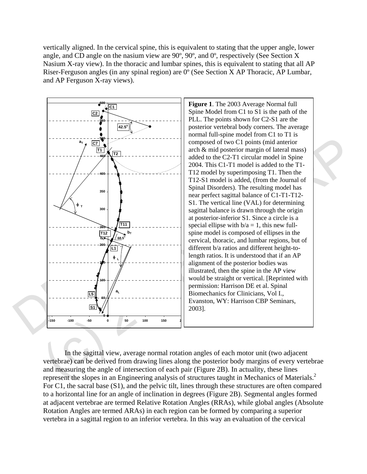vertically aligned. In the cervical spine, this is equivalent to stating that the upper angle, lower angle, and CD angle on the nasium view are 90º, 90º, and 0º, respectively (See Section X Nasium X-ray view). In the thoracic and lumbar spines, this is equivalent to stating that all AP Riser-Ferguson angles (in any spinal region) are 0º (See Section X AP Thoracic, AP Lumbar, and AP Ferguson X-ray views).



**C1 Figure 1**. The 2003 Average Normal full Spine Model from C1 to S1 is the path of the PLL. The points shown for C2-S1 are the posterior vertebral body corners. The average normal full-spine model from C1 to T1 is composed of two C1 points (mid anterior arch & mid posterior margin of lateral mass) added to the C2-T1 circular model in Spine 2004. This C1-T1 model is added to the T1- T12 model by superimposing T1. Then the T12-S1 model is added, (from the Journal of Spinal Disorders). The resulting model has near perfect sagittal balance of C1-T1-T12- S1. The vertical line (VAL) for determining sagittal balance is drawn through the origin at posterior-inferior S1. Since a circle is a special ellipse with  $b/a = 1$ , this new fullspine model is composed of ellipses in the cervical, thoracic, and lumbar regions, but of different b/a ratios and different height-tolength ratios. It is understood that if an AP alignment of the posterior bodies was illustrated, then the spine in the AP view would be straight or vertical. [Reprinted with permission: Harrison DE et al. Spinal Biomechanics for Clinicians, Vol I., Evanston, WY: Harrison CBP Seminars, 2003].

In the sagittal view, average normal rotation angles of each motor unit (two adjacent vertebrae) can be derived from drawing lines along the posterior body margins of every vertebrae and measuring the angle of intersection of each pair (Figure 2B). In actuality, these lines represent the slopes in an Engineering analysis of structures taught in Mechanics of Materials.<sup>2</sup> For C1, the sacral base (S1), and the pelvic tilt, lines through these structures are often compared to a horizontal line for an angle of inclination in degrees (Figure 2B). Segmental angles formed at adjacent vertebrae are termed Relative Rotation Angles (RRAs), while global angles (Absolute Rotation Angles are termed ARAs) in each region can be formed by comparing a superior vertebra in a sagittal region to an inferior vertebra. In this way an evaluation of the cervical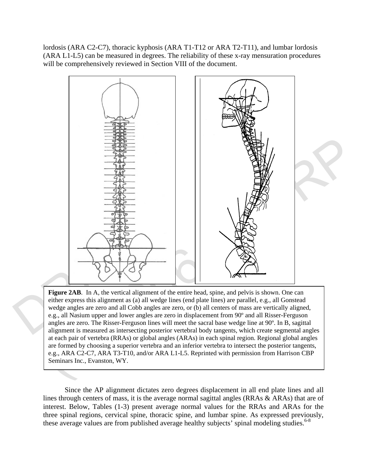lordosis (ARA C2-C7), thoracic kyphosis (ARA T1-T12 or ARA T2-T11), and lumbar lordosis (ARA L1-L5) can be measured in degrees. The reliability of these x-ray mensuration procedures will be comprehensively reviewed in Section VIII of the document.



**Figure 2AB**. In A, the vertical alignment of the entire head, spine, and pelvis is shown. One can either express this alignment as (a) all wedge lines (end plate lines) are parallel, e.g., all Gonstead wedge angles are zero and all Cobb angles are zero, or (b) all centers of mass are vertically aligned, e.g., all Nasium upper and lower angles are zero in displacement from 90º and all Risser-Ferguson angles are zero. The Risser-Ferguson lines will meet the sacral base wedge line at 90º. In B, sagittal alignment is measured as intersecting posterior vertebral body tangents, which create segmental angles at each pair of vertebra (RRAs) or global angles (ARAs) in each spinal region. Regional global angles are formed by choosing a superior vertebra and an inferior vertebra to intersect the posterior tangents, e.g., ARA C2-C7, ARA T3-T10, and/or ARA L1-L5. Reprinted with permission from Harrison CBP Seminars Inc., Evanston, WY.

Since the AP alignment dictates zero degrees displacement in all end plate lines and all lines through centers of mass, it is the average normal sagittal angles (RRAs & ARAs) that are of interest. Below, Tables (1-3) present average normal values for the RRAs and ARAs for the three spinal regions, cervical spine, thoracic spine, and lumbar spine. As expressed previously, these average values are from published average healthy subjects' spinal modeling studies.<sup>6-8</sup>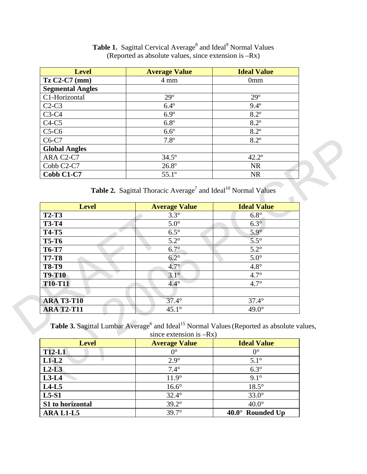| <b>Level</b>                        | <b>Average Value</b> | <b>Ideal Value</b> |
|-------------------------------------|----------------------|--------------------|
| $TzC2-C7$ (mm)                      | $4 \text{ mm}$       | 0 <sub>mm</sub>    |
| <b>Segmental Angles</b>             |                      |                    |
| C1-Horizontal                       | $29^\circ$           | $29^\circ$         |
| $C2-C3$                             | $6.4^\circ$          | $9.4^{\circ}$      |
| $C3-C4$                             | $6.9^\circ$          | $8.2^\circ$        |
| $C4-C5$                             | $6.8^\circ$          | $8.2^\circ$        |
| $C5-C6$                             | $6.6^\circ$          | $8.2^\circ$        |
| $C6-C7$                             | $7.8^\circ$          | $8.2^\circ$        |
| <b>Global Angles</b>                |                      |                    |
| ARA C2-C7                           | $34.5^{\circ}$       | $42.2^{\circ}$     |
| Cobb C <sub>2</sub> -C <sub>7</sub> | $26.8^{\circ}$       | <b>NR</b>          |
| Cobb C1-C7                          | $55.1^{\circ}$       | <b>NR</b>          |

Table 1. Sagittal Cervical Average<sup>8</sup> and Ideal<sup>9</sup> Normal Values (Reported as absolute values, since extension is –Rx)

**Table 2.** Sagittal Thoracic Average<sup>7</sup> and Ideal<sup>10</sup> Normal Values

| C6-C7                         | $7.8^{\circ}$                                                                                                                                   | $8.2^\circ$        |
|-------------------------------|-------------------------------------------------------------------------------------------------------------------------------------------------|--------------------|
| <b>Global Angles</b>          |                                                                                                                                                 |                    |
| ARA C2-C7                     | $34.5^\circ$                                                                                                                                    | $42.2^{\circ}$     |
| Cobb C2-C7                    | $26.8^\circ$                                                                                                                                    | <b>NR</b>          |
| Cobb C1-C7                    | $55.1^\circ$                                                                                                                                    | <b>NR</b>          |
|                               | Table 2. Sagittal Thoracic Average <sup>7</sup> and Ideal <sup>10</sup> Normal Values                                                           |                    |
| <b>Level</b>                  | <b>Average Value</b>                                                                                                                            | <b>Ideal Value</b> |
| <b>T2-T3</b>                  | $3.3^\circ$                                                                                                                                     | $6.8^\circ$        |
| <b>T3-T4</b>                  | $5.0^\circ$                                                                                                                                     | $6.3^\circ$        |
| <b>T4-T5</b>                  | $6.5^\circ$                                                                                                                                     | $5.9^\circ$        |
| <b>T5-T6</b>                  | $5.2^\circ$                                                                                                                                     | $5.5^\circ$        |
| <b>T6-T7</b>                  | $6.7^\circ$                                                                                                                                     | $5.2^\circ$        |
| <b>T7-T8</b>                  | $6.2^\circ$                                                                                                                                     | $5.0^\circ$        |
| <b>T8-T9</b>                  | $4.7^\circ$                                                                                                                                     | $4.8^\circ$        |
| <b>T9-T10</b>                 | $3.1^\circ$                                                                                                                                     | $4.7^\circ$        |
| <b>T10-T11</b>                | $4.4^\circ$                                                                                                                                     | $4.7^\circ$        |
|                               |                                                                                                                                                 |                    |
| <b>ARA T3-T10</b>             | $\overline{37.4^{\circ}}$                                                                                                                       | $37.4^\circ$       |
| <b>ARA T2-T11</b>             | $45.1^\circ$                                                                                                                                    | $49.0^\circ$       |
|                               | Table 3. Sagittal Lumbar Average <sup>6</sup> and Ideal <sup>15</sup> Normal Values (Reported as absolute values,<br>since extension is $-Rx$ ) |                    |
| <b>Level</b>                  | <b>Average Value</b>                                                                                                                            | <b>Ideal Value</b> |
| <b>T12-L1</b>                 | $0^{\circ}$                                                                                                                                     | $0^{\circ}$        |
| $L1-L2$                       | $2.9^\circ$                                                                                                                                     | $5.1^\circ$        |
| $L2-L3$                       | $7.4^\circ$                                                                                                                                     | $6.3^\circ$        |
| $L3-L4$                       | $11.9^\circ$                                                                                                                                    | $9.1^\circ$        |
| $\mathbf{r}$ and $\mathbf{r}$ | $\sim$ $\sim$ $\sim$ $\sim$ $\sim$                                                                                                              | 10F                |

| <b>Level</b>     | <b>Average Value</b> | <b>Ideal Value</b>      |
|------------------|----------------------|-------------------------|
| <b>T12-L1</b>    | $0^{\circ}$          | $0^{\circ}$             |
| $L1-L2$          | $2.9^\circ$          | $5.1^\circ$             |
| $L2-L3$          | $7.4^\circ$          | $6.3^\circ$             |
| $L3-L4$          | $11.9^\circ$         | $9.1^\circ$             |
| $L4-L5$          | $16.6^\circ$         | $18.5^\circ$            |
| $L5-S1$          | $32.4^\circ$         | $33.0^\circ$            |
| S1 to horizontal | $39.2^\circ$         | $40.0^\circ$            |
| ARA L1-L5        | $39.7^\circ$         | $40.0^\circ$ Rounded Up |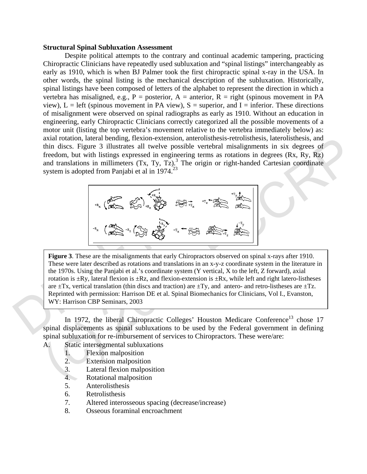#### **Structural Spinal Subluxation Assessment**

Despite political attempts to the contrary and continual academic tampering, practicing Chiropractic Clinicians have repeatedly used subluxation and "spinal listings" interchangeably as early as 1910, which is when BJ Palmer took the first chiropractic spinal x-ray in the USA. In other words, the spinal listing is the mechanical description of the subluxation. Historically, spinal listings have been composed of letters of the alphabet to represent the direction in which a vertebra has misaligned, e.g.,  $P =$  posterior,  $A =$  anterior,  $R =$  right (spinous movement in PA view),  $L = left$  (spinous movement in PA view),  $S = superior$ , and  $I = inferior$ . These directions of misalignment were observed on spinal radiographs as early as 1910. Without an education in engineering, early Chiropractic Clinicians correctly categorized all the possible movements of a motor unit (listing the top vertebra's movement relative to the vertebra immediately below) as: axial rotation, lateral bending, flexion-extension, anterolisthesis-retrolisthesis, laterolisthesis, and thin discs. Figure 3 illustrates all twelve possible vertebral misalignments in six degrees of freedom, but with listings expressed in engineering terms as rotations in degrees (Rx, Ry, Rz) and translations in millimeters  $(Tx, Ty, Tz)$ .<sup>3</sup> The origin or right-handed Cartesian coordinate system is adopted from Panjabi et al in 1974.<sup>23</sup>



**Figure 3.** These are the misalignments that<br>These were later described as rotations and<br>the 1970s. Using the Panjabi et al.'s coordination is  $\pm$ Ry, lateral flexion is  $\pm$ Rz, and are  $\pm$ Tx, vertical translation (thin axial rotation, lakeral bending. Ilexono-extension, anterolayis series bending the stereo state contents and the stereo state is such that is degrees of freedom, but with listing serves of inequirements in six degrees of **Figure 3**. These are the misalignments that early Chiropractors observed on spinal x-rays after 1910. These were later described as rotations and translations in an x-y-z coordinate system in the literature in the 1970s. Using the Panjabi et al.'s coordinate system (Y vertical, X to the left, Z forward), axial rotation is  $\pm Ry$ , lateral flexion is  $\pm Rz$ , and flexion-extension is  $\pm Rx$ , while left and right latero-listheses are  $\pm Tx$ , vertical translation (thin discs and traction) are  $\pm Ty$ , and antero- and retro-listheses are  $\pm Tz$ . Reprinted with permission: Harrison DE et al. Spinal Biomechanics for Clinicians, Vol I., Evanston, WY: Harrison CBP Seminars, 2003

In 1972, the liberal Chiropractic Colleges' Houston Medicare Conference<sup>13</sup> chose 17 spinal displacements as spinal subluxations to be used by the Federal government in defining spinal subluxation for re-imbursement of services to Chiropractors. These were/are:

- A. Static intersegmental subluxations
	- 1. Flexion malposition
	- 2. Extension malposition
	- 3. Lateral flexion malposition
	- 4. Rotational malposition
	- 5. Anterolisthesis
	- 6. Retrolisthesis
	- 7. Altered interosseous spacing (decrease/increase)
	- 8. Osseous foraminal encroachment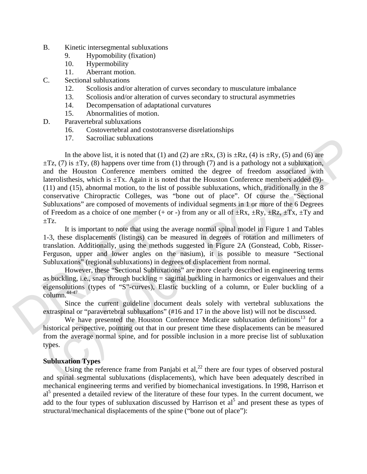- B. Kinetic intersegmental subluxations
	- 9. Hypomobility (fixation)
	- 10. Hypermobility
	- 11. Aberrant motion.
- C. Sectional subluxations
	- 12. Scoliosis and/or alteration of curves secondary to musculature imbalance
	- 13. Scoliosis and/or alteration of curves secondary to structural asymmetries
	- 14. Decompensation of adaptational curvatures
	- 15. Abnormalities of motion.
- D. Paravertebral subluxations
	- 16. Costovertebral and costotransverse disrelationships
	- 17. Sacroiliac subluxations

17. Sacrotine subluxations<br>
In the above list, it is noted that (1) and (2) are +Rx, (3) is +Rx, (4) is +Ry, (5) and (6) are<br>  $\pm 12$ , (7) is  $\pm 1y$ , (8) happens over time from (1) through (7) and is a pathology not a su In the above list, it is noted that (1) and (2) are  $\pm Rx$ , (3) is  $\pm Rz$ , (4) is  $\pm Ry$ , (5) and (6) are  $\pm$ Tz, (7) is  $\pm$ Ty, (8) happens over time from (1) through (7) and is a pathology not a subluxation, and the Houston Conference members omitted the degree of freedom associated with laterolisthesis, which is  $\pm Tx$ . Again it is noted that the Houston Conference members added (9)-(11) and (15), abnormal motion, to the list of possible subluxations, which, traditionally in the 8 conservative Chiropractic Colleges, was "bone out of place". Of course the "Sectional Subluxations" are composed of movements of individual segments in 1 or more of the 6 Degrees of Freedom as a choice of one member (+ or -) from any or all of  $\pm Rx$ ,  $\pm Ry$ ,  $\pm Rz$ ,  $\pm Tx$ ,  $\pm Ty$  and  $\pm Tz$ .

 $\pm$ Tz.<br>
It is important to note that using t<br>  $\pm$ Tz.<br>
It is important to note that using t<br>
translation. Additionally, using the meth<br>
Ferguson, upper and lower angles on<br>
Subluxations'' (regional subluxations) in<br>
Howe It is important to note that using the average normal spinal model in Figure 1 and Tables 1-3, these displacements (listings) can be measured in degrees of rotation and millimeters of translation. Additionally, using the methods suggested in Figure 2A (Gonstead, Cobb, Risser-Ferguson, upper and lower angles on the nasium), it is possible to measure "Sectional Subluxations" (regional subluxations) in degrees of displacement from normal.

However, these "Sectional Subluxations" are more clearly described in engineering terms as buckling, i.e., snap through buckling  $=$  sagittal buckling in harmonics or eigenvalues and their eigensolutions (types of "S"-curves), Elastic buckling of a column, or Euler buckling of a column.44-47

Since the current guideline document deals solely with vertebral subluxations the extraspinal or "paravertebral subluxations" (#16 and 17 in the above list) will not be discussed.

We have presented the Houston Conference Medicare subluxation definitions<sup>13</sup> for a historical perspective, pointing out that in our present time these displacements can be measured from the average normal spine, and for possible inclusion in a more precise list of subluxation types.

### **Subluxation Types**

Using the reference frame from Panjabi et  $al$ <sup>22</sup>, there are four types of observed postural and spinal segmental subluxations (displacements), which have been adequately described in mechanical engineering terms and verified by biomechanical investigations. In 1998, Harrison et al<sup>5</sup> presented a detailed review of the literature of these four types. In the current document, we add to the four types of subluxation discussed by Harrison et  $a_1^5$  and present these as types of structural/mechanical displacements of the spine ("bone out of place"):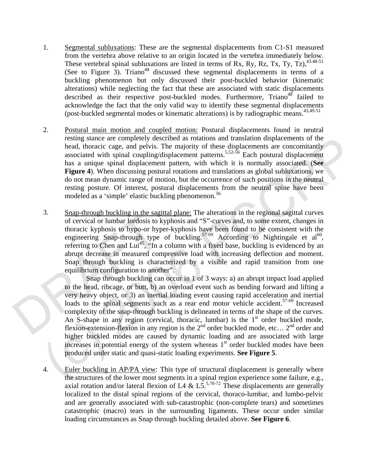- 1. Segmental subluxations: These are the segmental displacements from C1-S1 measured from the vertebra above relative to an origin located in the vertebra immediately below. These vertebral spinal subluxations are listed in terms of Rx, Ry, Rz, Tx, Ty, Tz),  $43.48-51$ (See to Figure 3). Triano<sup>48</sup> discussed these segmental displacements in terms of a buckling phenomenon but only discussed their post-buckled behavior (kinematic alterations) while neglecting the fact that these are associated with static displacements described as their respective post-buckled modes. Furthermore, Triano<sup>48</sup> failed to acknowledge the fact that the only valid way to identify these segmental displacements (post-buckled segmental modes or kinematic alterations) is by radiographic means.  $43,49-51$
- 2. Postural main motion and coupled motion: Postural displacements found in neutral resting stance are completely described as rotations and translation displacements of the head, thoracic cage, and pelvis. The majority of these displacements are concomitantly associated with spinal coupling/displacement patterns.<sup>5,52-56</sup> Each postural displacement has a unique spinal displacement pattern, with which it is normally associated. (**See Figure 4**). When discussing postural rotations and translations as global subluxations, we do not mean dynamic range of motion, but the occurrence of such positions in the neutral resting posture. Of interest, postural displacements from the neutral spine have been modeled as a 'simple' elastic buckling phenomenon.<sup>56</sup>
- 3.  $\frac{\text{9nap-mough locking in the sagg}}{\text{of cervical or lumbar lordosis to b}}$  of cervical or lumbar lordosis to hypo-or hypongineering Snap-through type referring to Chen and Lui<sup>45</sup>, "In a abrupt decrease in measured con Snap through buckling is charaequilibriu 3. Snap-through buckling in the sagittal plane: The alterations in the regional sagittal curves of cervical or lumbar lordosis to kyphosis and "S"-curves and, to some extent, changes in thoracic kyphosis to hypo-or hyper-kyphosis have been found to be consistent with the engineering Snap-through type of buckling.<sup>57-69</sup> According to Nightingale et al.<sup>60</sup>, referring to Chen and Lui<sup>45</sup>, "In a column with a fixed base, buckling is evidenced by an abrupt decrease in measured compressive load with increasing deflection and moment. Snap through buckling is characterized by a visible and rapid transition from one equilibrium configuration to another".

resum standard with spiral dependent and tunislation displacements are comonicated<br>head, theoreic cage, and pelvis. The majority of these displacements are conomitantly<br>associated with spiral couling displacement patterns Snap through buckling can occur in 1 of 3 ways: a) an abrupt impact load applied to the head, ribcage, or butt, b) an overload event such as bending forward and lifting a very heavy object, or 3) an inertial loading event causing rapid acceleration and inertial loads to the spinal segments such as a rear end motor vehicle accident.<sup>57-69</sup> Increased complexity of the snap-through buckling is delineated in terms of the shape of the curves. An S-shape in any region (cervical, thoracic, lumbar) is the  $1<sup>st</sup>$  order buckled mode, flexion-extension-flexion in any region is the  $2<sup>nd</sup>$  order buckled mode, etc...  $2<sup>nd</sup>$  order and higher buckled modes are caused by dynamic loading and are associated with large increases in potential energy of the system whereas  $1<sup>st</sup>$  order buckled modes have been produced under static and quasi-static loading experiments. **See Figure 5**.

4. Euler buckling in AP/PA view: This type of structural displacement is generally where the structures of the lower most segments in a spinal region experience some failure, e.g., axial rotation and/or lateral flexion of L4 & L5.<sup>5,70-72</sup> These displacements are generally localized to the distal spinal regions of the cervical, thoraco-lumbar, and lumbo-pelvic and are generally associated with sub-catastrophic (non-complete tears) and sometimes catastrophic (macro) tears in the surrounding ligaments. These occur under similar loading circumstances as Snap through buckling detailed above. **See Figure 6**.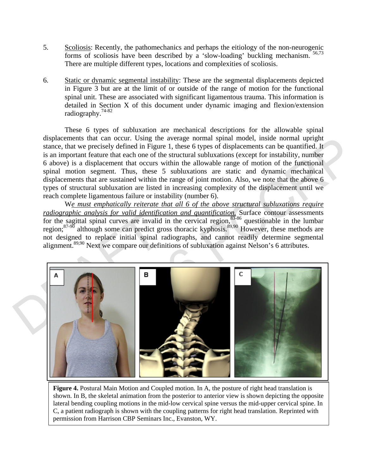- 5. Scoliosis: Recently, the pathomechanics and perhaps the eitiology of the non-neurogenic forms of scoliosis have been described by a 'slow-loading' buckling mechanism. 56,73 There are multiple different types, locations and complexities of scoliosis.
- 6. Static or dynamic segmental instability: These are the segmental displacements depicted in Figure 3 but are at the limit of or outside of the range of motion for the functional spinal unit. These are associated with significant ligamentous trauma. This information is detailed in Section X of this document under dynamic imaging and flexion/extension radiography.74-82

These 6 types of subluxation are mechanical descriptions for the allowable spinal displacements that can occur. Using the average normal spinal model, inside normal upright stance, that we precisely defined in Figure 1, these 6 types of displacements can be quantified. It is an important feature that each one of the structural subluxations (except for instability, number 6 above) is a displacement that occurs within the allowable range of motion of the functional spinal motion segment. Thus, these 5 subluxations are static and dynamic mechanical displacements that are sustained within the range of joint motion. Also, we note that the above 6 types of structural subluxation are listed in increasing complexity of the displacement until we reach complete ligamentous failure or instability (number 6).

W*e must emphatically reiterate that all 6 of the above structural subluxations require radiographic analysis for valid identification and quantification.* Surface contour assessments for the sagittal spinal curves are invalid in the cervical region,<sup>83-86</sup> questionable in the lumbar region;<sup>87-90</sup> although some can predict gross thoracic kyphosis.<sup>89,90</sup> However, these methods are not designed to replace initial spinal radiographs, and cannot readily determine segmental alignment.<sup>89,90</sup> Next we compare our definitions of subluxation against Nelson's 6 attributes.



**Figure 4.** Postural Main Motion and Coupled motion. In A, the posture of right head translation is shown. In B, the skeletal animation from the posterior to anterior view is shown depicting the opposite lateral bending coupling motions in the mid-low cervical spine versus the mid-upper cervical spine. In C, a patient radiograph is shown with the coupling patterns for right head translation. Reprinted with permission from Harrison CBP Seminars Inc., Evanston, WY.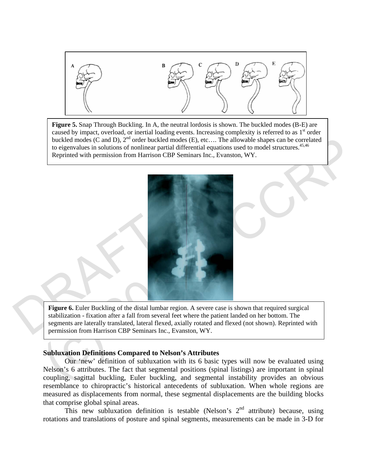

**Figure 5.** Snap Through Buckling. In A, the neutral lordosis is shown. The buckled modes (B-E) are caused by impact, overload, or inertial loading events. Increasing complexity is referred to as  $1<sup>st</sup>$  order buckled modes (C and D), 2<sup>nd</sup> order buckled modes (E), etc.... The allowable shapes can be correlated to eigenvalues in solutions of nonlinear partial differential equations used to model structures.<sup>45,46</sup> Reprinted with permission from Harrison CBP Seminars Inc., Evanston, WY.



Figure 6. Euler Buckling of the distal lum<br>stabilization - fixation after a fall from seve<br>segments are laterally translated, lateral fle<br>permission from Harrison CBP Seminars In **Figure 6.** Euler Buckling of the distal lumbar region. A severe case is shown that required surgical stabilization - fixation after a fall from several feet where the patient landed on her bottom. The segments are laterally translated, lateral flexed, axially rotated and flexed (not shown). Reprinted with permission from Harrison CBP Seminars Inc., Evanston, WY.

## **Subluxation Definitions Compared to Nelson's Attributes**

Our 'new' definition of subluxation with its 6 basic types will now be evaluated using Nelson's 6 attributes. The fact that segmental positions (spinal listings) are important in spinal coupling, sagittal buckling, Euler buckling, and segmental instability provides an obvious resemblance to chiropractic's historical antecedents of subluxation. When whole regions are measured as displacements from normal, these segmental displacements are the building blocks that comprise global spinal areas.

This new subluxation definition is testable (Nelson's  $2<sup>nd</sup>$  attribute) because, using rotations and translations of posture and spinal segments, measurements can be made in 3-D for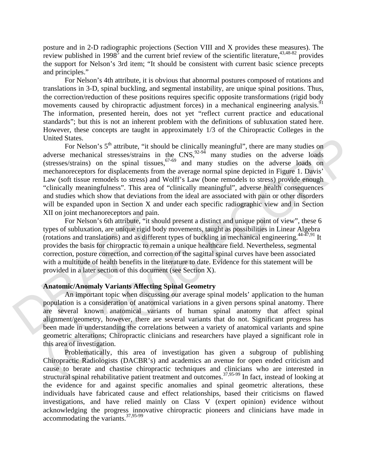posture and in 2-D radiographic projections (Section VIII and X provides these measures). The review published in 1998<sup>5</sup> and the current brief review of the scientific literature,<sup>43,48-82</sup> provides the support for Nelson's 3rd item; "It should be consistent with current basic science precepts and principles."

For Nelson's 4th attribute, it is obvious that abnormal postures composed of rotations and translations in 3-D, spinal buckling, and segmental instability, are unique spinal positions. Thus, the correction/reduction of these positions requires specific opposite transformations (rigid body movements caused by chiropractic adjustment forces) in a mechanical engineering analysis.<sup>9</sup> The information, presented herein, does not yet "reflect current practice and educational standards"; but this is not an inherent problem with the definitions of subluxation stated here. However, these concepts are taught in approximately 1/3 of the Chiropractic Colleges in the United States.

United States.<br>
Face Nelson's  $5^{\text{th}}$  attribute, "it should be clinically meaningful", there are many studies on<br>
adverse mechanical stresses/strains in the CNS,<sup>92,36</sup> and many studies on the adverse loads on<br>
(stresse For Nelson's 5<sup>th</sup> attribute, "it should be clinically meaningful", there are many studies on adverse mechanical stresses/strains in the  $CNS$ ,  $92-94$  many studies on the adverse loads  $(stresses/strains)$  on the spinal tissues,  $67-69$  and many studies on the adverse loads on mechanoreceptors for displacements from the average normal spine depicted in Figure 1. Davis' Law (soft tissue remodels to stress) and Wolff's Law (bone remodels to stress) provide enough "clinically meaningfulness". This area of "clinically meaningful", adverse health consequences and studies which show that deviations from the ideal are associated with pain or other disorders will be expanded upon in Section X and under each specific radiographic view and in Section XII on joint mechanoreceptors and pain.

XII on joint incentral<br>occupions and pain.<br>For Nelson's 6th attribute, "it sho<br>types of subluxation, are unique rigid boo<br>(rotations and translations) and as differe<br>provides the basis for chiropractic to rem<br>correction, p For Nelson's 6th attribute, "it should present a distinct and unique point of view", these 6 types of subluxation, are unique rigid body movements, taught as possibilities in Linear Algebra (rotations and translations) and as different types of buckling in mechanical engineering.  $44-47,91$  It provides the basis for chiropractic to remain a unique healthcare field. Nevertheless, segmental correction, posture correction, and correction of the sagittal spinal curves have been associated with a multitude of health benefits in the literature to date. Evidence for this statement will be provided in a later section of this document (see Section X).

### **Anatomic/Anomaly Variants Affecting Spinal Geometry**

An important topic when discussing our average spinal models' application to the human population is a consideration of anatomical variations in a given persons spinal anatomy. There are several known anatomical variants of human spinal anatomy that affect spinal alignment/geometry, however, there are several variants that do not. Significant progress has been made in understanding the correlations between a variety of anatomical variants and spine geometric alterations; Chiropractic clinicians and researchers have played a significant role in this area of investigation.

Problematically, this area of investigation has given a subgroup of publishing Chiropractic Radiologists (DACBR's) and academics an avenue for open ended criticism and cause to berate and chastise chiropractic techniques and clinicians who are interested in structural spinal rehabilitative patient treatment and outcomes.<sup>37,95-99</sup> In fact, instead of looking at the evidence for and against specific anomalies and spinal geometric alterations, these individuals have fabricated cause and effect relationships, based their criticisms on flawed investigations, and have relied mainly on Class V (expert opinion) evidence without acknowledging the progress innovative chiropractic pioneers and clinicians have made in accommodating the variants.37,95-99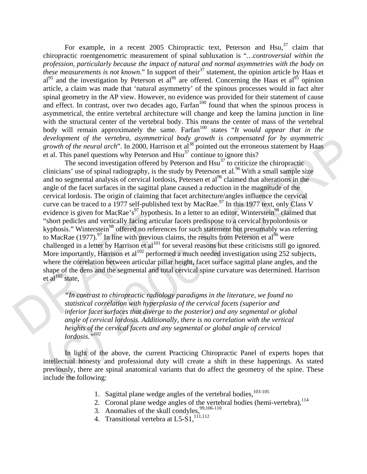For example, in a recent 2005 Chiropractic text, Peterson and Hsu,  $37$  claim that chiropractic roentgenometric measurement of spinal subluxation is "*…controversial within the profession, particularly because the impact of natural and normal asymmetries with the body on these measurements is not known.*" In support of their<sup>37</sup> statement, the opinion article by Haas et  $a^{195}$  and the investigation by Peterson et  $a^{196}$  are offered. Concerning the Haas et  $a^{195}$  opinion article, a claim was made that 'natural asymmetry' of the spinous processes would in fact alter spinal geometry in the AP view. However, no evidence was provided for their statement of cause and effect. In contrast, over two decades ago,  $Farfan<sup>100</sup>$  found that when the spinous process is asymmetrical, the entire vertebral architecture will change and keep the lamina junction in line with the structural center of the vertebral body. This means the center of mass of the vertebral body will remain approximately the same. Farfan<sup>100</sup> states "*It would appear that in the* development of the vertebra, asymmetrical body growth is compensated for by asymmetric *growth of the neural arch*". In 2000, Harrison et al<sup>38</sup> pointed out the erroneous statement by Haas et al. This panel questions why Peterson and  $Hsu<sup>37</sup>$  continue to ignore this?

"short pedicles and vertically facing artic<br>
"short pedicles and vertically facing artic<br>
kyphosis." Winterstein<sup>98</sup> offered no refer<br>
to MacRae (1977).<sup>97</sup> In line with previous<br>
challenged in a letter by Harrison et al<sup></sup> development of the vertebra, asymmetrical body growth is compensated for by asymuative states. This parent parameterizal body growth of the neural arch". In 2000, Harrison et al<sup>24</sup> pointed out the erroneous statement by The second investigation offered by Peterson and  $Hsu<sup>37</sup>$  to criticize the chiropractic clinicians' use of spinal radiography, is the study by Peterson et al.<sup>96</sup> With a small sample size and no segmental analysis of cervical lordosis, Petersen et  $al^{96}$  claimed that alterations in the angle of the facet surfaces in the sagittal plane caused a reduction in the magnitude of the cervical lordosis. The origin of claiming that facet architecture/angles influence the cervical curve can be traced to a 1977 self-published text by MacRae.<sup>97</sup> In this 1977 text, only Class V evidence is given for MacRae's<sup>97</sup> hypothesis. In a letter to an editor, Winterstein<sup>98</sup> claimed that "short pedicles and vertically facing articular facets predispose to a cervical hypolordosis or kyphosis." Winterstein<sup>98</sup> offered no references for such statement but presumably was referring to MacRae (1977).<sup>97</sup> In line with previous claims, the results from Peterson et al<sup>96</sup> were challenged in a letter by Harrison et  $al^{101}$  for several reasons but these criticisms still go ignored. More importantly, Harrison et al<sup>102</sup> performed a much needed investigation using  $252$  subjects, where the correlation between articular pillar height, facet surface sagittal plane angles, and the shape of the dens and the segmental and total cervical spine curvature was determined. Harrison et al $102$  state,

*"In contrast to chiropractic radiology paradigms in the literature, we found no statistical correlation with hyperplasia of the cervical facets (superior and inferior facet surfaces that diverge to the posterior) and any segmental or global angle of cervical lordosis. Additionally, there is no correlation with the vertical heights of the cervical facets and any segmental or global angle of cervical lordosis."102* 

In light of the above, the current Practicing Chiropractic Panel of experts hopes that intellectual honesty and professional duty will create a shift in these happenings. As stated previously, there are spinal anatomical variants that do affect the geometry of the spine. These include the following:

- 1. Sagittal plane wedge angles of the vertebral bodies, $103-105$
- 2. Coronal plane wedge angles of the vertebral bodies (hemi-vertebra), <sup>114</sup>
- 3. Anomalies of the skull condyles,  $99,106-110$
- 4. Transitional vertebra at  $L5-S1$ ,<sup>111,112</sup>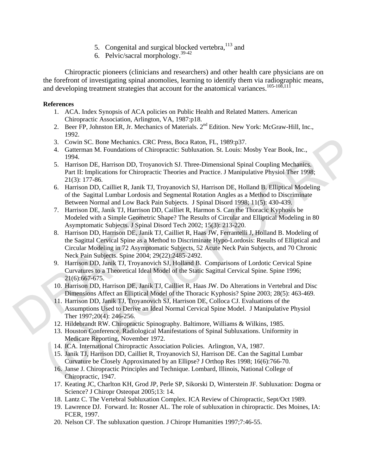- 5. Congenital and surgical blocked vertebra,  $113$  and
- 6. Pelvic/sacral morphology.39-42

Chiropractic pioneers (clinicians and researchers) and other health care physicians are on the forefront of investigating spinal anomolies, learning to identify them via radiographic means, and developing treatment strategies that account for the anatomical variances.<sup>105-108,111</sup>

## **References**

- 1. ACA. Index Synopsis of ACA policies on Public Health and Related Matters. American Chiropractic Association, Arlington, VA, 1987:p18.
- 2. Beer FP, Johnston ER, Jr. Mechanics of Materials. 2<sup>nd</sup> Edition. New York: McGraw-Hill, Inc., 1992.
- 3. Cowin SC. Bone Mechanics. CRC Press, Boca Raton, FL, 1989:p37.
- 4. Gatterman M. Foundations of Chiropractic: Subluxation. St. Louis: Mosby Year Book, Inc., 1994.
- 5. Harrison DE, Harrison DD, Troyanovich SJ. Three-Dimensional Spinal Coupling Mechanics. Part II: Implications for Chiropractic Theories and Practice. J Manipulative Physiol Ther 1998; 21(3): 177-86.
- 6. Harrison DD, Cailliet R, Janik TJ, Troyanovich SJ, Harrison DE, Holland B. Elliptical Modeling of the Sagittal Lumbar Lordosis and Segmental Rotation Angles as a Method to Discriminate Between Normal and Low Back Pain Subjects. J Spinal Disord 1998; 11(5): 430-439.
- 7. Harrison DE, Janik TJ, Harrison DD, Cailliet R, Harmon S. Can the Thoracic Kyphosis be Modeled with a Simple Geometric Shape? The Results of Circular and Elliptical Modeling in 80 Asymptomatic Subjects. J Spinal Disord Tech 2002; 15(3): 213-220.
- Modeled with a Simple Geometric S<br>Asymptomatic Subjects. J Spinal Dis<br>8. Harrison DD, Harrison DE, Janik TJ<br>the Sagittal Cervical Spine as a Meth<br>Circular Modeling in 72 Asymptoma<br>Neck Pain Subjects. Spine 2004; 29<br>9. Harr 3. Cowin SC Iene Mechanics. CRC Press, Boen Raton, FL, 1989.p37.<br>
4. Gottherman M. Foundations of Chiropractics Sublustations. St. Louise Model Teatricos DE. Harrison DE. Harrison DD. Troyanovich SJ. Three-Dimensional Spin 8. Harrison DD, Harrison DE, Janik TJ, Cailliet R, Haas JW, Ferrantelli J, Holland B. Modeling of the Sagittal Cervical Spine as a Method to Discriminate Hypo-Lordosis: Results of Elliptical and Circular Modeling in 72 Asymptomatic Subjects, 52 Acute Neck Pain Subjects, and 70 Chronic Neck Pain Subjects. Spine 2004; 29(22):2485-2492.
	- 9. Harrison DD, Janik TJ, Troyanovich SJ, Holland B. Comparisons of Lordotic Cervical Spine Curvatures to a Theoretical Ideal Model of the Static Sagittal Cervical Spine. Spine 1996; 21(6):667-675.
	- 10. Harrison DD, Harrison DE, Janik TJ, Cailliet R, Haas JW. Do Alterations in Vertebral and Disc Dimensions Affect an Elliptical Model of the Thoracic Kyphosis? Spine 2003; 28(5): 463-469.
	- 11. Harrison DD, Janik TJ, Troyanovich SJ, Harrison DE, Colloca CJ. Evaluations of the Assumptions Used to Derive an Ideal Normal Cervical Spine Model. J Manipulative Physiol Ther 1997;20(4): 246-256.
	- 12. Hildebrandt RW. Chiropractic Spinography. Baltimore, Williams & Wilkins, 1985.
	- 13. Houston Conference. Radiological Manifestations of Spinal Subluxations. Uniformity in Medicare Reporting, November 1972.
	- 14. ICA. International Chiropractic Association Policies. Arlington, VA, 1987.
	- 15. Janik TJ, Harrison DD, Cailliet R, Troyanovich SJ, Harrison DE. Can the Sagittal Lumbar Curvature be Closely Approximated by an Ellipse? J Orthop Res 1998; 16(6):766-70.
	- 16. Janse J. Chiropractic Principles and Technique. Lombard, Illinois, National College of Chiropractic, 1947.
	- 17. Keating JC, Charlton KH, Grod JP, Perle SP, Sikorski D, Winterstein JF. Subluxation: Dogma or Science? J Chiropr Osteopat 2005;13: 14.
	- 18. Lantz C. The Vertebral Subluxation Complex. ICA Review of Chiropractic, Sept/Oct 1989.
	- 19. Lawrence DJ. Forward. In: Rosner AL. The role of subluxation in chiropractic. Des Moines, IA: FCER, 1997.
	- 20. Nelson CF. The subluxation question. J Chiropr Humanities 1997;7:46-55.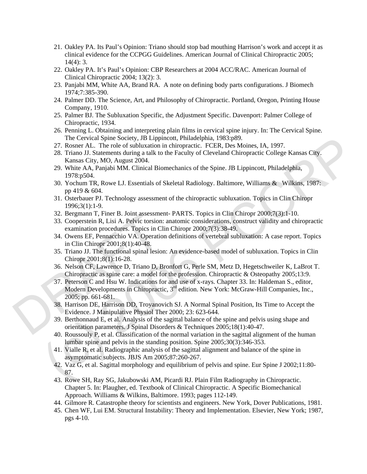- 21. Oakley PA. Its Paul's Opinion: Triano should stop bad mouthing Harrison's work and accept it as clinical evidence for the CCPGG Guidelines. American Journal of Clinical Chiropractic 2005; 14(4): 3.
- 22. Oakley PA. It's Paul's Opinion: CBP Researchers at 2004 ACC/RAC. American Journal of Clinical Chiropractic 2004; 13(2): 3.
- 23. Panjabi MM, White AA, Brand RA. A note on defining body parts configurations. J Biomech 1974;7:385-390.
- 24. Palmer DD. The Science, Art, and Philosophy of Chiropractic. Portland, Oregon, Printing House Company, 1910.
- 25. Palmer BJ. The Subluxation Specific, the Adjustment Specific. Davenport: Palmer College of Chiropractic, 1934.
- 26. Penning L. Obtaining and interpreting plain films in cervical spine injury. In: The Cervical Spine. The Cervical Spine Society, JB Lippincott, Philadelphia, 1983:p89.
- 27. Rosner AL. The role of subluxation in chiropractic. FCER, Des Moines, IA, 1997.
- 28. Triano JJ. Statements during a talk to the Faculty of Cleveland Chiropractic College Kansas City. Kansas City, MO, August 2004.
- 29. White AA, Panjabi MM. Clinical Biomechanics of the Spine. JB Lippincott, Philadelphia, 1978:p504.
- 30. Yochum TR, Rowe LJ. Essentials of Skeletal Radiology. Baltimore, Williams & Wilkins, 1987: pp 419 & 604.
- 31. Osterbauer PJ. Technology assessment of the chiropractic subluxation. Topics in Clin Chiropr 1996;3(1):1-9.
- 32. Bergmann T, Finer B. Joint assessment- PARTS. Topics in Clin Chiropr 2000;7(3):1-10.
- 33. Cooperstein R, Lisi A. Pelvic torsion: anatomic considerations, construct validity and chiropractic examination procedures. Topics in Clin Chiropr 2000;7(3):38-49.
- 34. Owens EF, Pennacchio VA. Operation definitions of vertebral subluxation: A case report. Topics in Clin Chiropr 2001;8(1):40-48.
- 35. Triano JJ. The functional spinal lesion: An evidence-based model of subluxation. Topics in Clin Chiropr 2001;8(1):16-28.
- 36. Nelson CF, Lawrence D, Triano D, Bronfort G, Perle SM, Metz D, Hegetschweiler K, LaBrot T. Chiropractic as spine care: a model for the profession. Chiropractic & Osteopathy 2005;13:9.
- 32. Bergmann 1, Finer B. Joint assessme<br>
33. Cooperstein R, Lisi A. Pelvic torsion<br>
examination procedures. Topics in C<br>
34. Owens EF, Pennacchio VA. Operatio<br>
in Clin Chiropr 2001;8(1):40-48.<br>
35. Triano JJ. The functiona The Geneval Spine Society. 1B Lepannestic, Philadelphia, 1985;<br>P. Rosser A.L. The role of sublucation in chiropactic. FCER, Des Moines, IA, 1997.<br>
28. Triano J. Statements during talk to the Faculty of Cleveland Chiropract 37. Peterson C and Hsu W. Indications for and use of x-rays. Chapter 33. In: Haldeman S., editor, Modern Developments in Chiropractic, 3<sup>rd</sup> edition. New York: McGraw-Hill Companies, Inc., 2005; pp. 661-681.
	- 38. Harrison DE, Harrison DD, Troyanovich SJ. A Normal Spinal Position, Its Time to Accept the Evidence. J Manipulative Physiol Ther 2000; 23: 623-644.
	- 39. Berthonnaud E, et al. Analysis of the sagittal balance of the spine and pelvis using shape and orientation parameters. J Spinal Disorders & Techniques 2005;18(1):40-47.
	- 40. Roussouly P, et al. Classification of the normal variation in the sagittal alignment of the human lumbar spine and pelvis in the standing position. Spine 2005;30(3):346-353.
	- 41. Vialle R, et al. Radiographic analysis of the sagittal alignment and balance of the spine in asymptomatic subjects. JBJS Am 2005;87:260-267.
	- 42. Vaz G, et al. Sagittal morphology and equilibrium of pelvis and spine. Eur Spine J 2002;11:80- 87.
	- 43. Rowe SH, Ray SG, Jakubowski AM, Picardi RJ. Plain Film Radiography in Chiropractic. Chapter 5. In: Plaugher, ed. Textbook of Clinical Chiropractic. A Specific Biomechanical Approach. Williams & Wilkins, Baltimore. 1993; pages 112-149.
	- 44. Gilmore R. Catastrophe theory for scientists and engineers. New York, Dover Publications, 1981.
	- 45. Chen WF, Lui EM. Structural Instability: Theory and Implementation. Elsevier, New York; 1987, pgs 4-10.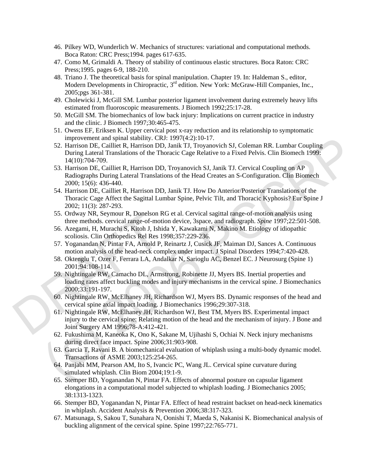- 46. Pilkey WD, Wunderlich W. Mechanics of structures: variational and computational methods. Boca Raton: CRC Press;1994. pages 617-635.
- 47. Como M, Grimaldi A. Theory of stability of continuous elastic structures. Boca Raton: CRC Press;1995. pages 6-9, 188-210.
- 48. Triano J. The theoretical basis for spinal manipulation. Chapter 19. In: Haldeman S., editor, Modern Developments in Chiropractic, 3<sup>rd</sup> edition. New York: McGraw-Hill Companies, Inc., 2005;pgs 361-381.
- 49. Cholewicki J, McGill SM. Lumbar posterior ligament involvement during extremely heavy lifts estimated from fluoroscopic measurements. J Biomech 1992;25:17-28.
- 50. McGill SM. The biomechanics of low back injury: Implications on current practice in industry and the clinic. J Biomech 1997;30:465-475.
- 51. Owens EF, Eriksen K. Upper cervical post x-ray reduction and its relationship to symptomatic improvement and spinal stability. CRJ: 1997(4:2):10-17.
- 52. Harrison DE, Cailliet R, Harrison DD, Janik TJ, Troyanovich SJ, Coleman RR. Lumbar Coupling During Lateral Translations of the Thoracic Cage Relative to a Fixed Pelvis. Clin Biomech 1999: 14(10):704-709.
- 53. Harrison DE, Cailliet R, Harrison DD, Troyanovich SJ, Janik TJ. Cervical Coupling on AP Radiographs During Lateral Translations of the Head Creates an S-Configuration. Clin Biomech 2000; 15(6): 436-440.
- mprovement and spinal stabitty. CAU: 1997(42:31:14-1).<br>
21. Harrison DE, Calilet R, Harrison DD, Janit TI, Toyanovich SJ, Coleman RR. Lumbar Coupling<br>
During Laterul Translations of the Theoretic Cage Relative to a Fixed P 54. Harrison DE, Cailliet R, Harrison DD, Janik TJ. How Do Anterior/Posterior Translations of the Thoracic Cage Affect the Sagittal Lumbar Spine, Pelvic Tilt, and Thoracic Kyphosis? Eur Spine J 2002; 11(3): 287-293.
	- 55. Ordway NR, Seymour R, Donelson RG et al. Cervical sagittal range-of-motion analysis using three methods. cervical range-of-motion device, 3space, and radiograph. *Spine* 1997;22:501-508.
	- 56. Azegami, H, Murachi S, Kitoh J, Ishida Y, Kawakami N, Makino M. Etiology of idiopathic scoliosis. Clin Orthopedics Rel Res 1998;357:229-236.
	- 57. Yoganandan N, Pintar FA, Arnold P, Reinartz J, Cusick JF, Maiman DJ, Sances A. Continuous motion analysis of the head-neck complex under impact. J Spinal Disorders 1994;7:420-428.
	- 58. Oktenglu T, Ozer F, Ferrara LA, Andalkar N, Sarioglu AC, Benzel EC. J Neurosurg (Spine 1) 2001;94:108-114.
- 55. Ordway NR, Seymour R, Donelson 1<br>three methods. cervical range-of-mot<br>56. Azegami, H, Murachi S, Kitoh J, Ish<br>scoliosis. Clin Orthopedics Rel Res 1<br>57. Yoganandan N, Pintar FA, Arnold P,<br>motion analysis of the head-nec 59. Nightingale RW, Camacho DL, Armstrong, Robinette JJ, Myers BS. Inertial properties and loading rates affect buckling modes and injury mechanisms in the cervical spine. J Biomechanics 2000;33:191-197.
	- 60. Nightingale RW, McElhaney JH, Richardson WJ, Myers BS. Dynamic responses of the head and cervical spine axial impact loading. J Biomechanics 1996;29:307-318.
	- 61. Nightingale RW, McElhaney JH, Richardson WJ, Best TM, Myers BS. Experimental impact injury to the cervical spine: Relating motion of the head and the mechanism of injury. J Bone and Joint Surgery AM 1996;78-A:412-421.
	- 62. Fukushima M, Kaneoka K, Ono K, Sakane M, Ujihashi S, Ochiai N. Neck injury mechanisms during direct face impact. Spine 2006;31:903-908.
	- 63. Garcia T, Ravani B. A biomechanical evaluation of whiplash using a multi-body dynamic model. Transactions of ASME 2003;125:254-265.
	- 64. Panjabi MM, Pearson AM, Ito S, Ivancic PC, Wang JL. Cervical spine curvature during simulated whiplash. Clin Biom 2004;19:1-9.
	- 65. Stemper BD, Yoganandan N, Pintar FA. Effects of abnormal posture on capsular ligament elongations in a computational model subjected to whiplash loading. J Biomechanics 2005; 38:1313-1323.
	- 66. Stemper BD, Yoganandan N, Pintar FA. Effect of head restraint backset on head-neck kinematics in whiplash. Accident Analysis & Prevention 2006;38:317-323.
	- 67. Matsunaga, S, Sakou T, Sunahara N, Oonishi T, Maeda S, Nakanisi K. Biomechanical analysis of buckling alignment of the cervical spine. Spine 1997;22:765-771.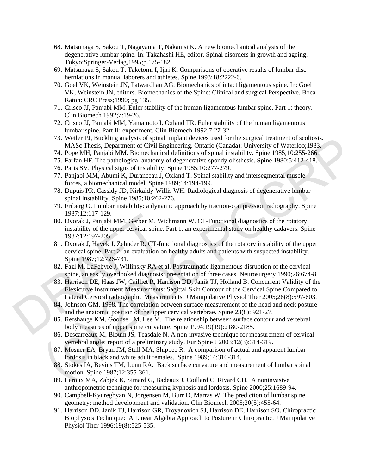- 68. Matsunaga S, Sakou T, Nagayama T, Nakanisi K. A new biomechanical analysis of the degenerative lumbar spine. In: Takahashi HE, editor. Spinal disorders in growth and ageing. Tokyo:Springer-Verlag,1995;p.175-182.
- 69. Matsunaga S, Sakou T, Taketomi I, Ijiri K. Comparisons of operative results of lumbar disc herniations in manual laborers and athletes. Spine 1993;18:2222-6.
- 70. Goel VK, Weinstein JN, Patwardhan AG. Biomechanics of intact ligamentous spine. In: Goel VK, Weinstein JN, editors. Biomechanics of the Spine: Clinical and surgical Perspective. Boca Raton: CRC Press;1990; pg 135.
- 71. Crisco JJ, Panjabi MM. Euler stability of the human ligamentous lumbar spine. Part 1: theory. Clin Biomech 1992;7:19-26.
- 72. Crisco JJ, Panjabi MM, Yamamoto I, Oxland TR. Euler stability of the human ligamentous lumbar spine. Part II: experiment. Clin Biomech 1992;7:27-32.
- 73. Weiler PJ, Buckling analysis of spinal implant devices used for the surgical treatment of scoliosis. MASc Thesis, Department of Civil Engineering. Ontario (Canada): University of Waterloo;1983.
- 74. Pope MH, Panjabi MM. Biomechanical definitions of spinal instability. Spine 1985;10:255-266.
- 75. Farfan HF. The pathological anatomy of degenerative spondylolisthesis. Spine 1980;5:412-418.
- 76. Paris SV. Physical signs of instability. Spine 1985;10:277-279.
- 77. Panjabi MM, Abumi K, Duranceau J, Oxland T. Spinal stability and intersegmental muscle forces, a biomechanical model. Spine 1989;14:194-199.
- 78. Dupuis PR, Cassidy JD, Kirkaldy-Willis WH. Radiological diagnosis of degenerative lumbar spinal instability. Spine 1985;10:262-276.
- 79. Friberg O. Lumbar instability: a dynamic approach by traction-compression radiography. Spine 1987;12:117-129.
- 80. Dvorak J, Panjabi MM, Gerber M, Wichmann W. CT-Functional diagnostics of the rotatory instability of the upper cervical spine. Part 1: an experimental study on healthy cadavers. Spine 1987;12:197-205.
- 1987;12:117-129.<br>
80. Dvorak J, Panjabi MM, Gerber M, W<br>
instability of the upper cervical spine<br>
1987;12:197-205.<br>
81. Dvorak J, Hayek J, Zehnder R. CT-fi<br>
cervical spine. Part 2: an evaluation of<br>
Spine 1987;12:726-731. 73. Weiler PI, Bucking analysis of spinal implana deveces used for the surgical treatment of schooses. T4, Pope MH, Panjab MMAS Thesis, Department of Civil Engineering. Ontario (Canada): University of Waterloo: 1983, Pa, 81. Dvorak J, Hayek J, Zehnder R. CT-functional diagnostics of the rotatory instability of the upper cervical spine. Part 2: an evaluation on healthy adults and patients with suspected instability. Spine 1987;12:726-731.
	- 82. Fazl M, LaFebvre J, Willinsky RA et al. Posttraumatic ligamentous disruption of the cervical spine, an easily overlooked diagnosis: presentation of three cases. Neurosurgery 1990;26:674-8.
	- 83. Harrison DE, Haas JW, Cailliet R, Harrison DD, Janik TJ, Holland B. Concurrent Validity of the Flexicurve Instrument Measurements: Sagittal Skin Contour of the Cervical Spine Compared to Lateral Cervical radiographic Measurements. J Manipulative Physiol Ther 2005;28(8):597-603.
	- 84. Johnson GM. 1998. The correlation between surface measurement of the head and neck posture and the anatomic position of the upper cervical vertebrae. Spine 23(8): 921-27.
	- 85. Refshauge KM, Goodsell M, Lee M. The relationship between surface contour and vertebral body measures of upper spine curvature. Spine 1994;19(19):2180-2185.
	- 86. Descarreaux M, Blouin JS, Teasdale N. A non-invasive technique for measurement of cervical vertebral angle: report of a preliminary study. Eur Spine J 2003;12(3):314-319.
	- 87. Mosner EA, Bryan JM, Stull MA, Shippee R. A comparison of actual and apparent lumbar lordosis in black and white adult females. Spine 1989;14:310-314.
	- 88. Stokes IA, Bevins TM, Lunn RA. Back surface curvature and measurement of lumbar spinal motion. Spine 1987;12:355-361.
	- 89. Leroux MA, Zabjek K, Simard G, Badeaux J, Coillard C, Rivard CH. A noninvasive anthropometric technique for measuring kyphosis and lordosis. Spine 2000;25:1689-94.
	- 90. Campbell-Kyureghyan N, Jorgensen M, Burr D, Marras W. The prediction of lumbar spine geometry: method development and validation. Clin Biomech 2005;20(5):455-64.
	- 91. Harrison DD, Janik TJ, Harrison GR, Troyanovich SJ, Harrison DE, Harrison SO. Chiropractic Biophysics Technique: A Linear Algebra Approach to Posture in Chiropractic. J Manipulative Physiol Ther 1996;19(8):525-535.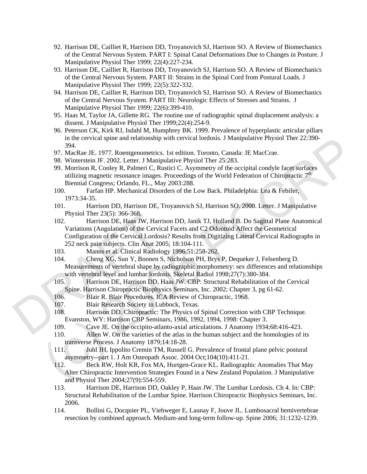- 92. Harrison DE, Cailliet R, Harrison DD, Troyanovich SJ, Harrison SO. A Review of Biomechanics of the Central Nervous System. PART I: Spinal Canal Deformations Due to Changes in Posture. J Manipulative Physiol Ther 1999; 22(4):227-234.
- 93. Harrison DE, Cailliet R, Harrison DD, Troyanovich SJ, Harrison SO. A Review of Biomechanics of the Central Nervous System. PART II: Strains in the Spinal Cord from Postural Loads. J Manipulative Physiol Ther 1999; 22(5):322-332.
- 94. Harrison DE, Cailliet R, Harrison DD, Troyanovich SJ, Harrison SO. A Review of Biomechanics of the Central Nervous System. PART III: Neurologic Effects of Stresses and Strains. J Manipulative Physiol Ther 1999; 22(6):399-410.
- 95. Haas M, Taylor JA, Gillette RG. The routine use of radiographic spinal displacement analysis: a dissent. J Manipulative Physiol Ther 1999;22(4):254-9.
- 96. Peterson CK, Kirk RJ, Isdahl M, Humphrey BK. 1999. Prevalence of hyperplastic articular pillars in the cervical spine and relationship with cervical lordosis. J Manipulative Physiol Ther 22:390- 394.
- 97. MacRae JE. 1977. Roentgenometrics. 1st edition. Toronto, Canada: JE MacCrae.
- 98. Winterstein JF. 2002. Letter. J Manipulative Physiol Ther 25:283.
- 99. Morrison R, Conley R, Palmeri C, Rustici C. Asymmetry of the occipital condyle facet surfaces utilizing magnetic resonance images. Proceedings of the World Federation of Chiropractic  $7<sup>th</sup>$ Biennial Congress; Orlando, FL., May 2003:288.
- 100. Farfan HP. Mechanical Disorders of the Low Back. Philadelphia: Lea & Febifer, 1973:34-35.
- 101. Harrison DD, Harrison DE, Troyanovich SJ, Harrison SO. 2000. Letter. J Manipulative Physiol Ther 23(5): 366-368.
- Physiol Ther 25(5): 366-368.<br>
102. Harrison DE, Haas JW, Harr<br>
Variations (Angulation) of the Cervic<br>
Configuration of the Cervical Lordos<br>
252 neck pain subjects. Clin Anat 20<br>
103. Manns et al. Clinical Radiole<br>
104. Che m the ecrycal spine and relationship with cervical lordosis. J. Manpulative Physio1 Ther 22:390-<br>
97. Mickho JE. 1977, Rosnegromentries. Ist edition. Toronto, Canada: J. E. MoeCros.<br>
99. Winterstein JF: 2002. Letter. J. Mi 102. Harrison DE, Haas JW, Harrison DD, Janik TJ, Holland B. Do Sagittal Plane Anatomical Variations (Angulation) of the Cervical Facets and C2 Odontoid Affect the Geometrical Configuration of the Cervical Lordosis? Results from Digitizing Lateral Cervical Radiographs in 252 neck pain subjects. Clin Anat 2005; 18:104-111.
	- 103. Manns et al. Clinical Radiology 1996:51:258-262.
	- 104. Cheng XG, Sun Y, Boonen S, Nicholson PH, Brys P, Dequeker J, Felsenberg D. Measurements of vertebral shape by radiographic morphometry: sex differences and relationships with vertebral level and lumbar lordosis. Skeletal Radiol 1998;27(7):380-384.
	- 105. Harrison DE, Harrison DD, Haas JW. CBP: Structural Rehabilitation of the Cervical Spine. Harrison Chiropractic Biophysics Seminars, Inc. 2002; Chapter 3, pg 61-62.
	- 106. Blair R. Blair Procedures. ICA Review of Chiropractic, 1968.
	- 107. Blair Research Society in Lubbock, Texas.
	- 108. Harrison DD. Chiropractic: The Physics of Spinal Correction with CBP Technique. Evanston, WY: Harrison CBP Seminars, 1986, 1992, 1994, 1998: Chapter 3.
	- 109. Cave JE. On the occipito-atlanto-axial articulations. J Anatomy 1934;68:416-423.
	- 110. Allen W. On the varieties of the atlas in the human subject and the homologies of its transverse Process. J Anatomy 1879;14:18-28.
	- 111. Juhl JH, Ippolito Cremin TM, Russell G. Prevalence of frontal plane pelvic postural asymmetry--part 1. J Am Osteopath Assoc. 2004 Oct;104(10):411-21.
	- 112. Beck RW, Holt KR, Fox MA, Hurtgen-Grace KL. Radiographic Anomalies That May Alter Chiropractic Intervention Strategies Found in a New Zealand Population. J Manipulative and Physiol Ther 2004;27(9):554-559.
	- 113. Harrison DE, Harrison DD, Oakley P, Haas JW. The Lumbar Lordosis. Ch 4. In: CBP: Structural Rehabilitation of the Lumbar Spine. Harrison Chiropractic Biophysics Seminars, Inc. 2006.
	- 114. Bollini G, Docquier PL, Viehweger E, Launay F, Jouve JL. Lumbosacral hemivertebrae resection by combined approach. Medium-and long-term follow-up. Spine 2006; 31:1232-1239.